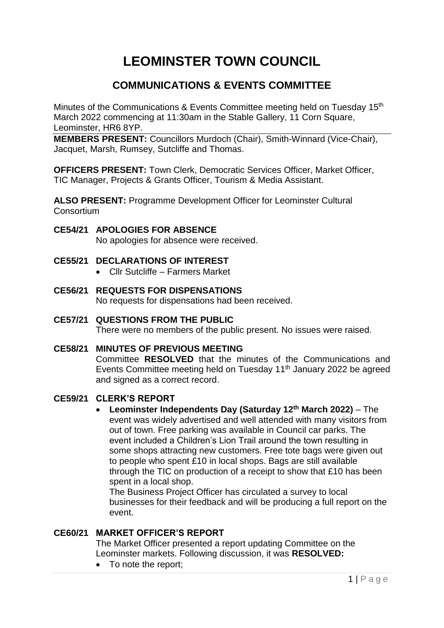# **LEOMINSTER TOWN COUNCIL**

# **COMMUNICATIONS & EVENTS COMMITTEE**

Minutes of the Communications & Events Committee meeting held on Tuesday 15<sup>th</sup> March 2022 commencing at 11:30am in the Stable Gallery, 11 Corn Square, Leominster, HR6 8YP.

**MEMBERS PRESENT:** Councillors Murdoch (Chair), Smith-Winnard (Vice-Chair), Jacquet, Marsh, Rumsey, Sutcliffe and Thomas.

**OFFICERS PRESENT:** Town Clerk, Democratic Services Officer, Market Officer, TIC Manager, Projects & Grants Officer, Tourism & Media Assistant.

**ALSO PRESENT:** Programme Development Officer for Leominster Cultural **Consortium** 

# **CE54/21 APOLOGIES FOR ABSENCE**

No apologies for absence were received.

- **CE55/21 DECLARATIONS OF INTEREST**
	- Cllr Sutcliffe Farmers Market
- **CE56/21 REQUESTS FOR DISPENSATIONS** No requests for dispensations had been received.

# **CE57/21 QUESTIONS FROM THE PUBLIC**

There were no members of the public present. No issues were raised.

#### **CE58/21 MINUTES OF PREVIOUS MEETING**

Committee **RESOLVED** that the minutes of the Communications and Events Committee meeting held on Tuesday 11<sup>th</sup> January 2022 be agreed and signed as a correct record.

#### **CE59/21 CLERK'S REPORT**

 **Leominster Independents Day (Saturday 12th March 2022)** – The event was widely advertised and well attended with many visitors from out of town. Free parking was available in Council car parks. The event included a Children's Lion Trail around the town resulting in some shops attracting new customers. Free tote bags were given out to people who spent £10 in local shops. Bags are still available through the TIC on production of a receipt to show that £10 has been spent in a local shop.

The Business Project Officer has circulated a survey to local businesses for their feedback and will be producing a full report on the event.

# **CE60/21 MARKET OFFICER'S REPORT**

The Market Officer presented a report updating Committee on the Leominster markets. Following discussion, it was **RESOLVED:**

• To note the report;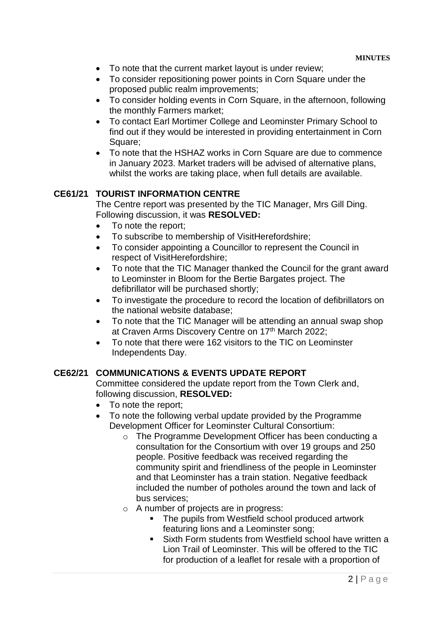- To note that the current market layout is under review;
- To consider repositioning power points in Corn Square under the proposed public realm improvements;
- To consider holding events in Corn Square, in the afternoon, following the monthly Farmers market;
- To contact Earl Mortimer College and Leominster Primary School to find out if they would be interested in providing entertainment in Corn Square;
- To note that the HSHAZ works in Corn Square are due to commence in January 2023. Market traders will be advised of alternative plans, whilst the works are taking place, when full details are available.

# **CE61/21 TOURIST INFORMATION CENTRE**

The Centre report was presented by the TIC Manager, Mrs Gill Ding. Following discussion, it was **RESOLVED:**

- To note the report;
- To subscribe to membership of VisitHerefordshire;
- To consider appointing a Councillor to represent the Council in respect of VisitHerefordshire;
- To note that the TIC Manager thanked the Council for the grant award to Leominster in Bloom for the Bertie Bargates project. The defibrillator will be purchased shortly;
- To investigate the procedure to record the location of defibrillators on the national website database;
- To note that the TIC Manager will be attending an annual swap shop at Craven Arms Discovery Centre on 17th March 2022;
- To note that there were 162 visitors to the TIC on Leominster Independents Day.

# **CE62/21 COMMUNICATIONS & EVENTS UPDATE REPORT**

Committee considered the update report from the Town Clerk and, following discussion, **RESOLVED:**

- To note the report;
- To note the following verbal update provided by the Programme Development Officer for Leominster Cultural Consortium:
	- o The Programme Development Officer has been conducting a consultation for the Consortium with over 19 groups and 250 people. Positive feedback was received regarding the community spirit and friendliness of the people in Leominster and that Leominster has a train station. Negative feedback included the number of potholes around the town and lack of bus services;
	- o A number of projects are in progress:
		- The pupils from Westfield school produced artwork featuring lions and a Leominster song;
		- Sixth Form students from Westfield school have written a Lion Trail of Leominster. This will be offered to the TIC for production of a leaflet for resale with a proportion of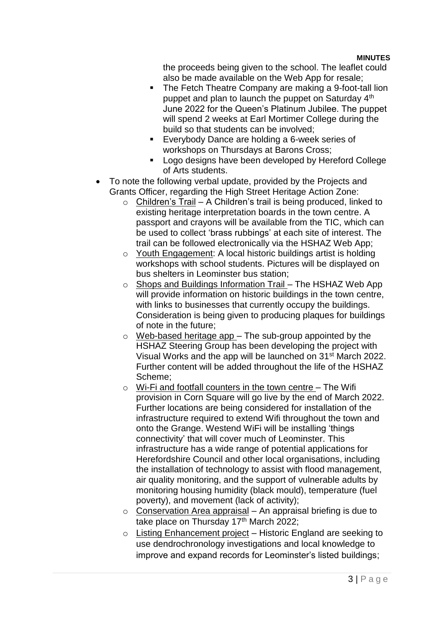the proceeds being given to the school. The leaflet could also be made available on the Web App for resale;

- The Fetch Theatre Company are making a 9-foot-tall lion puppet and plan to launch the puppet on Saturday 4<sup>th</sup> June 2022 for the Queen's Platinum Jubilee. The puppet will spend 2 weeks at Earl Mortimer College during the build so that students can be involved;
- Everybody Dance are holding a 6-week series of workshops on Thursdays at Barons Cross;
- **Logo designs have been developed by Hereford College** of Arts students.
- To note the following verbal update, provided by the Projects and Grants Officer, regarding the High Street Heritage Action Zone:
	- $\circ$  Children's Trail A Children's trail is being produced, linked to existing heritage interpretation boards in the town centre. A passport and crayons will be available from the TIC, which can be used to collect 'brass rubbings' at each site of interest. The trail can be followed electronically via the HSHAZ Web App;
	- o Youth Engagement: A local historic buildings artist is holding workshops with school students. Pictures will be displayed on bus shelters in Leominster bus station;
	- o Shops and Buildings Information Trail The HSHAZ Web App will provide information on historic buildings in the town centre, with links to businesses that currently occupy the buildings. Consideration is being given to producing plaques for buildings of note in the future;
	- $\circ$  Web-based heritage app The sub-group appointed by the HSHAZ Steering Group has been developing the project with Visual Works and the app will be launched on 31st March 2022. Further content will be added throughout the life of the HSHAZ Scheme;
	- $\circ$  Wi-Fi and footfall counters in the town centre The Wifi provision in Corn Square will go live by the end of March 2022. Further locations are being considered for installation of the infrastructure required to extend Wifi throughout the town and onto the Grange. Westend WiFi will be installing 'things connectivity' that will cover much of Leominster. This infrastructure has a wide range of potential applications for Herefordshire Council and other local organisations, including the installation of technology to assist with flood management, air quality monitoring, and the support of vulnerable adults by monitoring housing humidity (black mould), temperature (fuel poverty), and movement (lack of activity);
	- $\circ$  Conservation Area appraisal An appraisal briefing is due to take place on Thursday 17th March 2022;
	- o Listing Enhancement project Historic England are seeking to use dendrochronology investigations and local knowledge to improve and expand records for Leominster's listed buildings;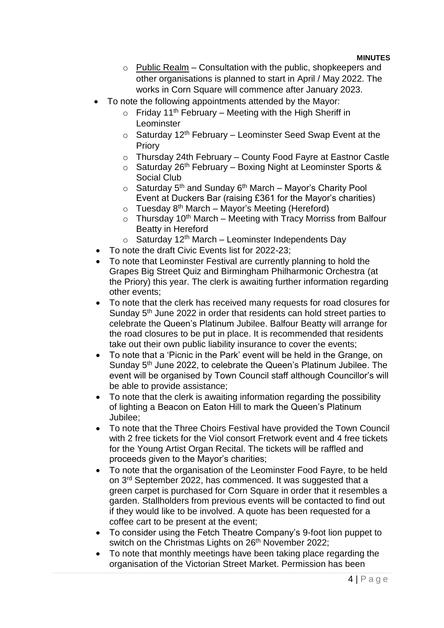- $\circ$  Public Realm Consultation with the public, shopkeepers and other organisations is planned to start in April / May 2022. The works in Corn Square will commence after January 2023.
- To note the following appointments attended by the Mayor:
	- $\circ$  Friday 11<sup>th</sup> February Meeting with the High Sheriff in Leominster
	- $\circ$  Saturday 12<sup>th</sup> February Leominster Seed Swap Event at the Priory
	- o Thursday 24th February County Food Fayre at Eastnor Castle
	- $\circ$  Saturday 26<sup>th</sup> February Boxing Night at Leominster Sports & Social Club
	- $\circ$  Saturday 5<sup>th</sup> and Sunday 6<sup>th</sup> March Mayor's Charity Pool Event at Duckers Bar (raising £361 for the Mayor's charities)
	- $\circ$  Tuesday 8<sup>th</sup> March Mayor's Meeting (Hereford)
	- $\circ$  Thursday 10<sup>th</sup> March Meeting with Tracy Morriss from Balfour Beatty in Hereford
	- $\circ$  Saturday 12<sup>th</sup> March Leominster Independents Day
- To note the draft Civic Events list for 2022-23;
- To note that Leominster Festival are currently planning to hold the Grapes Big Street Quiz and Birmingham Philharmonic Orchestra (at the Priory) this year. The clerk is awaiting further information regarding other events;
- To note that the clerk has received many requests for road closures for Sunday 5th June 2022 in order that residents can hold street parties to celebrate the Queen's Platinum Jubilee. Balfour Beatty will arrange for the road closures to be put in place. It is recommended that residents take out their own public liability insurance to cover the events;
- To note that a 'Picnic in the Park' event will be held in the Grange, on Sunday 5<sup>th</sup> June 2022, to celebrate the Queen's Platinum Jubilee. The event will be organised by Town Council staff although Councillor's will be able to provide assistance;
- To note that the clerk is awaiting information regarding the possibility of lighting a Beacon on Eaton Hill to mark the Queen's Platinum Jubilee;
- To note that the Three Choirs Festival have provided the Town Council with 2 free tickets for the Viol consort Fretwork event and 4 free tickets for the Young Artist Organ Recital. The tickets will be raffled and proceeds given to the Mayor's charities;
- To note that the organisation of the Leominster Food Fayre, to be held on 3<sup>rd</sup> September 2022, has commenced. It was suggested that a green carpet is purchased for Corn Square in order that it resembles a garden. Stallholders from previous events will be contacted to find out if they would like to be involved. A quote has been requested for a coffee cart to be present at the event;
- To consider using the Fetch Theatre Company's 9-foot lion puppet to switch on the Christmas Lights on 26<sup>th</sup> November 2022;
- To note that monthly meetings have been taking place regarding the organisation of the Victorian Street Market. Permission has been